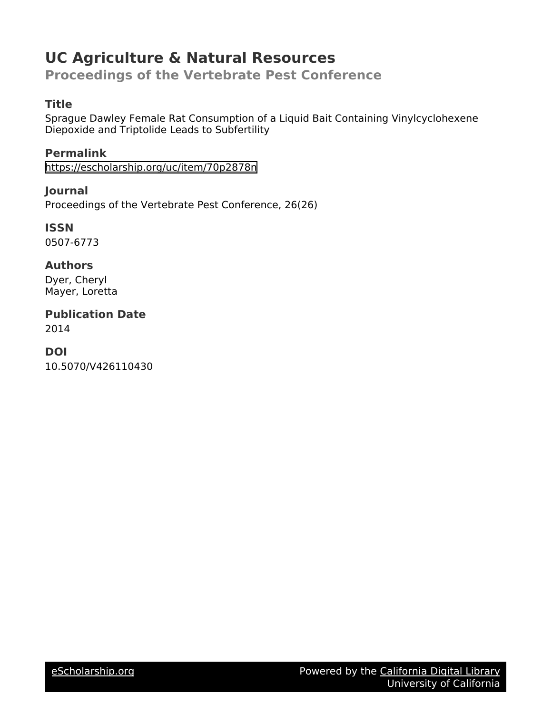# **UC Agriculture & Natural Resources**

**Proceedings of the Vertebrate Pest Conference**

# **Title**

Sprague Dawley Female Rat Consumption of a Liquid Bait Containing Vinylcyclohexene Diepoxide and Triptolide Leads to Subfertility

**Permalink** https://escholarship.org/uc/item/70p2878n

**Journal** Proceedings of the Vertebrate Pest Conference, 26(26)

**ISSN** 0507-6773

**Authors** Dyer, Cheryl Mayer, Loretta

**Publication Date** 2014

**DOI** 10.5070/V426110430

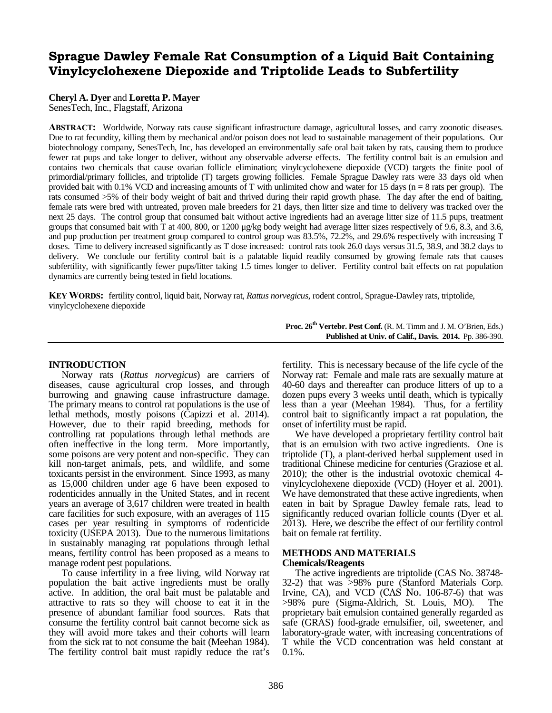# Sprague Dawley Female Rat Consumption of a Liquid Bait Containing Vinylcyclohexene Diepoxide and Triptolide Leads to Subfertility

### **Cheryl A. Dyer** and **Loretta P. Mayer**

SenesTech, Inc., Flagstaff, Arizona

ABSTRACT: Worldwide, Norway rats cause significant infrastructure damage, agricultural losses, and carry zoonotic diseases. Due to rat fecundity, killing them by mechanical and/or poison does not lead to sustainable management of their populations. Our biotechnology company, SenesTech, Inc, has developed an environmentally safe oral bait taken by rats, causing them to produce fewer rat pups and take longer to deliver, without any observable adverse effects. The fertility control bait is an emulsion and contains two chemicals that cause ovarian follicle elimination; vinylcyclohexene diepoxide (VCD) targets the finite pool of primordial/primary follicles, and triptolide (T) targets growing follicles. Female Sprague Dawley rats were 33 days old when provided bait with 0.1% VCD and increasing amounts of T with unlimited chow and water for 15 days ( $n = 8$  rats per group). The rats consumed >5% of their body weight of bait and thrived during their rapid growth phase. The day after the end of baiting, female rats were bred with untreated, proven male breeders for 21 days, then litter size and time to delivery was tracked over the next 25 days. The control group that consumed bait without active ingredients had an average litter size of 11.5 pups, treatment groups that consumed bait with T at 400, 800, or 1200 μg/kg body weight had average litter sizes respectively of 9.6, 8.3, and 3.6, and pup production per treatment group compared to control group was 83.5%, 72.2%, and 29.6% respectively with increasing T doses. Time to delivery increased significantly as T dose increased: control rats took 26.0 days versus 31.5, 38.9, and 38.2 days to delivery. We conclude our fertility control bait is a palatable liquid readily consumed by growing female rats that causes subfertility, with significantly fewer pups/litter taking 1.5 times longer to deliver. Fertility control bait effects on rat population dynamics are currently being tested in field locations.

KEYWORDS: fertility control, liquid bait, Norway rat, *Rattus norvegicus*, rodent control, Sprague-Dawley rats, triptolide, vinylcyclohexene diepoxide

### **INTRODUCTION**

Norway rats (*Rattus norvegicus*) are carriers of diseases, cause agricultural crop losses, and through burrowing and gnawing cause infrastructure damage. The primary means to control rat populations is the use of lethal methods, mostly poisons (Capizzi et al. 2014). However, due to their rapid breeding, methods for controlling rat populations through lethal methods are often ineffective in the long term. More importantly, some poisons are very potent and non-specific. They can kill non-target animals, pets, and wildlife, and some toxicants persist in the environment. Since 1993, as many as 15,000 children under age 6 have been exposed to rodenticides annually in the United States, and in recent We have demonstrated that these active ingredients, when years an average of 3,617 children were treated in health care facilities for such exposure, with an averages of 115 cases per year resulting in symptoms of rodenticide toxicity (USEPA 2013). Due to the numerous limitations in sustainably managing rat populations through lethal means, fertility control has been proposed as a means to manage rodent pest populations.

To cause infertility in a free living, wild Norway rat population the bait active ingredients must be orally active. In addition, the oral bait must be palatable and attractive to rats so they will choose to eat it in the presence of abundant familiar food sources. Rats that consume the fertility control bait cannot become sick as they will avoid more takes and their cohorts will learn from the sick rat to not consume the bait (Meehan 1984). The fertility control bait must rapidly reduce the rat's **Proc. 26th Vertebr. Pest Conf.** (R. M. Timm and J. M. O'Brien, Eds.) **Published at Univ. of Calif., Davis. 2014.** Pp. 386-390.

fertility. This is necessary because of the life cycle of the Norway rat: Female and male rats are sexually mature at 40-60 days and thereafter can produce litters of up to a dozen pups every 3 weeks until death, which is typically less than a year (Meehan 1984). Thus, for a fertility control bait to significantly impact a rat population, the onset of infertility must be rapid.

We have developed a proprietary fertility control bait that is an emulsion with two active ingredients. One is triptolide (T), a plant-derived herbal supplement used in traditional Chinese medicine for centuries (Graziose et al. 2010); the other is the industrial ovotoxic chemical 4 vinylcyclohexene diepoxide (VCD) (Hoyer et al. 2001). eaten in bait by Sprague Dawley female rats, lead to significantly reduced ovarian follicle counts (Dyer et al. 2013). Here, we describe the effect of our fertility control bait on female rat fertility.

### **METHODS AND MATERIALS Chemicals/Reagents**

The active ingredients are triptolide (CAS No. 38748-<br>32-2) that was >98% pure (Stanford Materials Corp. Irvine, CA), and VCD (CAS No. 106-87-6) that was<br>>98% pure (Sigma-Aldrich, St. Louis, MO). The  $>98\%$  pure (Sigma-Aldrich, St. Louis, MO). proprietary bait emulsion contained generally regarded as safe (GRAS) food-grade emulsifier, oil, sweetener, and laboratory-grade water, with increasing concentrations of T while the VCD concentration was held constant at 0.1%.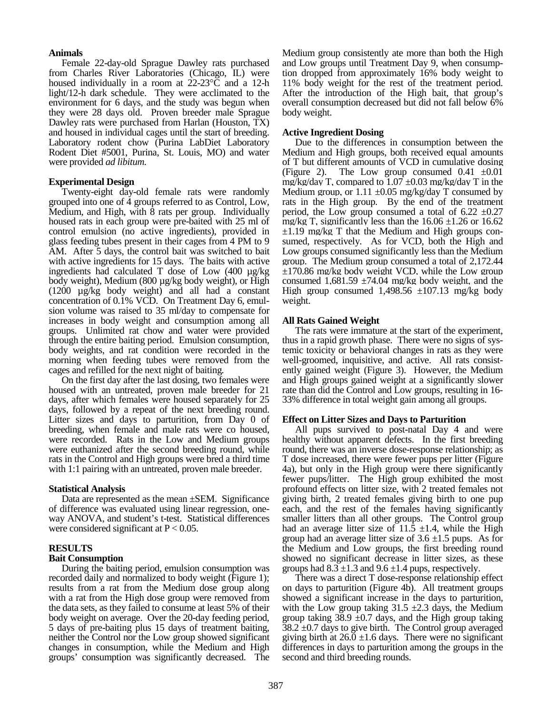### **Animals**

Female 22-day-old Sprague Dawley rats purchased from Charles River Laboratories (Chicago, IL) were housed individually in a room at  $22-23^{\circ}\text{C}$  and a 12-h light/12-h dark schedule. They were acclimated to the environment for 6 days, and the study was begun when they were 28 days old. Proven breeder male Sprague Dawley rats were purchased from Harlan (Houston, TX) and housed in individual cages until the start of breeding. Laboratory rodent chow (Purina LabDiet Laboratory Rodent Diet #5001, Purina, St. Louis, MO) and water were provided *ad libitum*.

### **Experimental Design**

Twenty-eight day-old female rats were randomly grouped into one of 4 groups referred to as Control, Low, Medium, and High, with 8 rats per group. Individually housed rats in each group were pre-baited with 25 ml of control emulsion (no active ingredients), provided in glass feeding tubes present in their cages from 4 PM to 9 AM. After 5 days, the control bait was switched to bait with active ingredients for 15 days. The baits with active ingredients had calculated T dose of Low (400 µg/kg body weight), Medium (800 µg/kg body weight), or High (1200 µg/kg body weight) and all had a constant concentration of 0.1% VCD. On Treatment Day 6, emul- sion volume was raised to 35 ml/day to compensate for increases in body weight and consumption among all groups. Unlimited rat chow and water were provided through the entire baiting period. Emulsion consumption, body weights, and rat condition were recorded in the morning when feeding tubes were removed from the cages and refilled for the next night of baiting.

On the first day after the last dosing, two females were housed with an untreated, proven male breeder for 21 days, after which females were housed separately for 25 33% difference in total weight gain among all groups. days, followed by a repeat of the next breeding round. Litter sizes and days to parturition, from Day 0 of breeding, when female and male rats were co housed, were recorded. Rats in the Low and Medium groups were euthanized after the second breeding round, while rats in the Control and High groups were bred a third time with 1:1 pairing with an untreated, proven male breeder.

### **Statistical Analysis**

Data are represented as the mean ±SEM. Significance of difference was evaluated using linear regression, one- way ANOVA, and student's t-test. Statistical differences were considered significant at  $P < 0.05$ .

### **RESULTS**

### **Bait Consumption**

During the baiting period, emulsion consumption was recorded daily and normalized to body weight (Figure 1); results from a rat from the Medium dose group along with a rat from the High dose group were removed from the data sets, as they failed to consume at least 5% of their body weight on average. Over the 20-day feeding period, 5 days of pre-baiting plus 15 days of treatment baiting, neither the Control nor the Low group showed significant changes in consumption, while the Medium and High groups' consumption was significantly decreased. The Medium group consistently ate more than both the High and Low groups until Treatment Day 9, when consumption dropped from approximately 16% body weight to 11% body weight for the rest of the treatment period. After the introduction of the High bait, that group's overall consumption decreased but did not fall below 6% body weight.

### **Active Ingredient Dosing**

Due to the differences in consumption between the Medium and High groups, both received equal amounts of T but different amounts of VCD in cumulative dosing (Figure 2). The Low group consumed  $0.41 \pm 0.01$ mg/kg/day T, compared to  $1.07 \pm 0.03$  mg/kg/day T in the Medium group, or  $1.11 \pm 0.05$  mg/kg/day T consumed by rats in the High group. By the end of the treatment period, the Low group consumed a total of  $6.22 \pm 0.27$ mg/kg T, significantly less than the  $16.06 \pm 1.26$  or  $16.62$  $\pm 1.19$  mg/kg T that the Medium and High groups consumed, respectively. As for VCD, both the High and Low groups consumed significantly less than the Medium group. The Medium group consumed a total of 2,172.44  $\pm 170.86$  mg/kg body weight VCD, while the Low group consumed 1,681.59  $\pm$ 74.04 mg/kg body weight, and the High group consumed  $1,498.56 \pm 107.13$  mg/kg body weight.

### **All Rats Gained Weight**

thus in a rapid growth phase. There were no signs of systemic toxicity or behavioral changes in rats as they were well-groomed, inquisitive, and active. All rats consistently gained weight (Figure 3). However, the Medium and High groups gained weight at a significantly slower rate than did the Control and Low groups, resulting in 16-

### **Effect on Litter Sizes and Days to Parturition**

All pups survived to post-natal Day 4 and were healthy without apparent defects. In the first breeding round, there was an inverse dose-response relationship; as T dose increased, there were fewer pups per litter (Figure 4a), but only in the High group were there significantly fewer pups/litter. The High group exhibited the most profound effects on litter size, with 2 treated females not giving birth, 2 treated females giving birth to one pup each, and the rest of the females having significantly smaller litters than all other groups. The Control group had an average litter size of 11.5  $\pm$ 1.4, while the High group had an average litter size of  $3.6 \pm 1.5$  pups. As for the Medium and Low groups, the first breeding round showed no significant decrease in litter sizes, as these groups had  $8.3 \pm 1.3$  and  $9.6 \pm 1.4$  pups, respectively.

There was a direct T dose-response relationship effect on days to parturition (Figure 4b). All treatment groups showed a significant increase in the days to parturition, with the Low group taking  $31.5 \pm 2.3$  days, the Medium group taking  $38.9 \pm 0.7$  days, and the High group taking  $38.2 \pm 0.7$  days to give birth. The Control group averaged giving birth at  $26.0 \pm 1.6$  days. There were no significant differences in days to parturition among the groups in the second and third breeding rounds.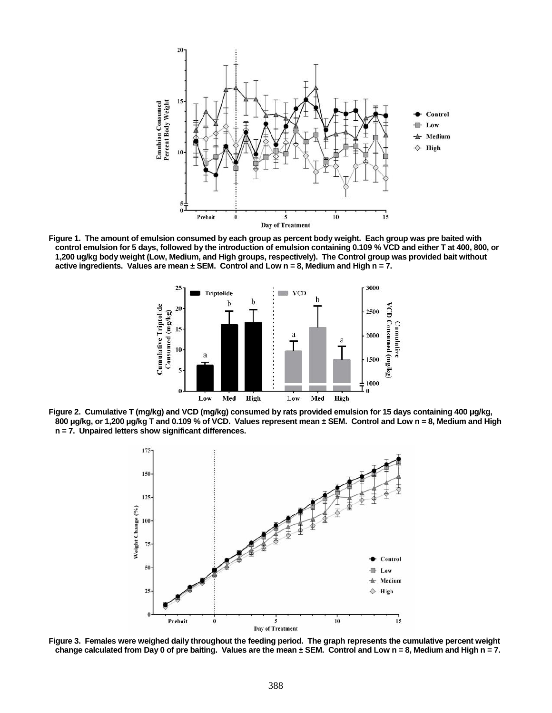

**Figure 1. The amount of emulsion consumed by each group as percent body weight. Each group was pre baited with control emulsion for 5 days, followed by the introduction of emulsion containing 0.109 % VCD and either T at 400, 800, or 1,200 ug/kg body weight (Low, Medium, and High groups, respectively). The Control group was provided bait without** active ingredients. Values are mean  $\pm$  SEM. Control and Low  $n = 8$ , Medium and High  $n = 7$ .



**Figure 2. Cumulative T (mg/kg) and VCD (mg/kg) consumed by rats provided emulsion for 15 days containing 400 μg/kg, 800 μg/kg, or 1,200 μg/kg T and 0.109 % of VCD. Values represent mean ± SEM. Control and Low n = 8, Medium and High n = 7. Unpaired letters show significant differences.**



**Figure 3. Females were weighed daily throughout the feeding period. The graph represents the cumulative percent weight change calculated from Day 0 of pre baiting. Values are the mean ± SEM. Control and Low n = 8, Medium and High n = 7.**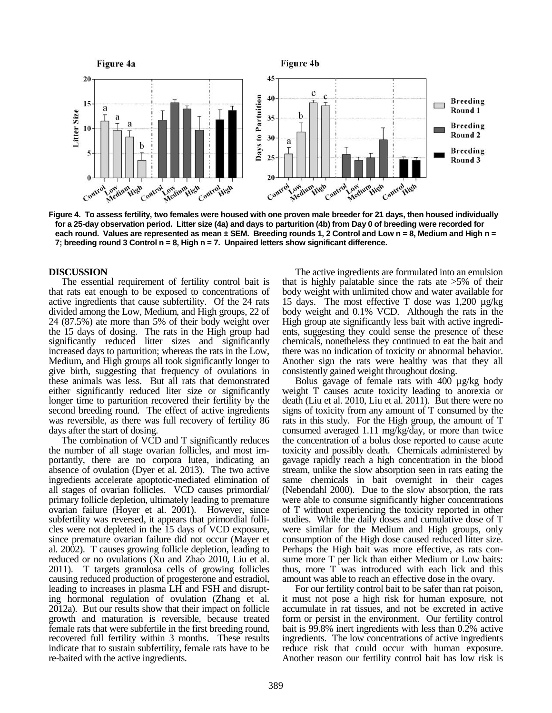

**Figure 4. To assess fertility, two females were housed with one proven male breeder for 21 days, then housed individually for a 25-day observation period. Litter size (4a) and days to parturition (4b) from Day 0 of breeding were recorded for each round. Values are represented as mean ± SEM. Breeding rounds 1, 2 Control and Low n = 8, Medium and High n = 7; breeding round 3 Control n = 8, High n = 7. Unpaired letters show significant difference.**

### **DISCUSSION**

The essential requirement of fertility control bait is that rats eat enough to be exposed to concentrations of active ingredients that cause subfertility. Of the 24 rats divided among the Low, Medium, and High groups, 22 of 24 (87.5%) ate more than 5% of their body weight over the 15 days of dosing. The rats in the High group had significantly reduced litter sizes and significantly chemi increased days to parturition; whereas the rats in the Low, Medium, and High groups all took significantly longer to give birth, suggesting that frequency of ovulations in these animals was less. But all rats that demonstrated either significantly reduced liter size or significantly longer time to parturition recovered their fertility by the second breeding round. The effect of active ingredients was reversible, as there was full recovery of fertility 86

days after the start of dosing.<br>The combination of VCD and T significantly reduces the number of all stage ovarian follicles, and most im portantly, there are no corpora lutea, indicating an absence of ovulation (Dyer et al. 2013). The two active ingredients accelerate apoptotic-mediated elimination of all stages of ovarian follicles. VCD causes primordial/ primary follicle depletion, ultimately leading to premature ovarian failure (Hoyer et al. 2001). However, since subfertility was reversed, it appears that primordial folli- cles were not depleted in the 15 days of VCD exposure, since premature ovarian failure did not occur (Mayer et al. 2002). T causes growing follicle depletion, leading to reduced or no ovulations (Xu and Zhao 2010, Liu et al. sume more T per lick than either Medium or Low baits: 2011). T targets granulosa cells of growing follicles causing reduced production of progesterone and estradiol, leading to increases in plasma LH and FSH and disrupting hormonal regulation of ovulation (Zhang et al. 2012a). But our results show that their impact on follicle growth and maturation is reversible, because treated female rats that were subfertile in the first breeding round, recovered full fertility within 3 months. These results indicate that to sustain subfertility, female rats have to be re-baited with the active ingredients.

The active ingredients are formulated into an emulsion that is highly palatable since the rats ate  $>5\%$  of their body weight with unlimited chow and water available for 15 days. The most effective T dose was 1,200 µg/kg body weight and 0.1% VCD. Although the rats in the High group ate significantly less bait with active ingredi ents, suggesting they could sense the presence of these chemicals, nonetheless they continued to eat the bait and there was no indication of toxicity or abnormal behavior. Another sign the rats were healthy was that they all consistently gained weight throughout dosing.

Bolus gavage of female rats with 400 µg/kg body weight T causes acute toxicity leading to anorexia or death (Liu et al. 2010, Liu et al. 2011). But there were no signs of toxicity from any amount of T consumed by the rats in this study. For the High group, the amount of T consumed averaged 1.11 mg/kg/day, or more than twice the concentration of a bolus dose reported to cause acute toxicity and possibly death. Chemicals administered by gavage rapidly reach a high concentration in the blood stream, unlike the slow absorption seen in rats eating the same chemicals in bait overnight in their cages (Nebendahl 2000). Due to the slow absorption, the rats were able to consume significantly higher concentrations of T without experiencing the toxicity reported in other studies. While the daily doses and cumulative dose of T were similar for the Medium and High groups, only consumption of the High dose caused reduced litter size. Perhaps the High bait was more effective, as rats conthus, more T was introduced with each lick and this

amount was able to reach an effective dose in the ovary. For our fertility control bait to be safer than rat poison, it must not pose a high risk for human exposure, not accumulate in rat tissues, and not be excreted in active form or persist in the environment. Our fertility control bait is 99.8% inert ingredients with less than 0.2% active ingredients. The low concentrations of active ingredients reduce risk that could occur with human exposure. Another reason our fertility control bait has low risk is